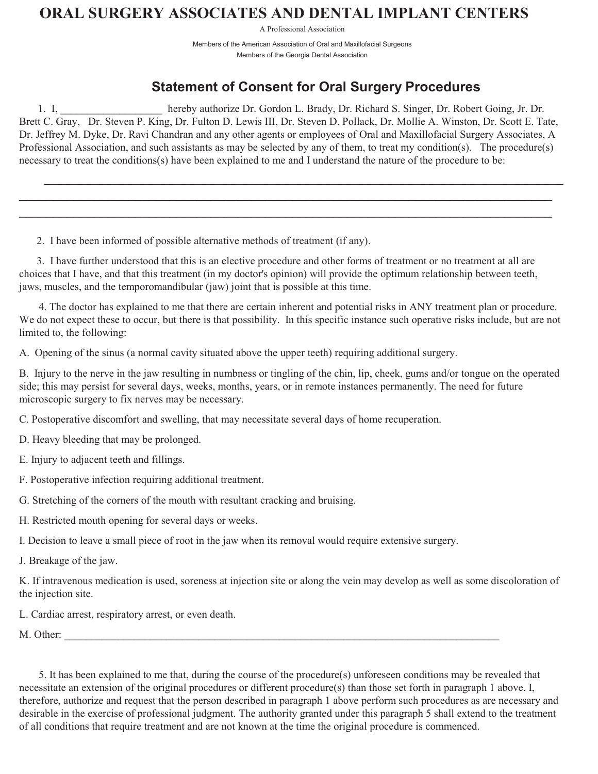## **ORAL SURGERY ASSOCIATES AND DENTAL IMPLANT CENTERS**

A Professional Association

Members of the American Association of Oral and Maxillofacial Surgeons Members of the Georgia Dental Association

## **Statement of Consent for Oral Surgery Procedures**

1. I, \_\_\_\_\_\_\_\_\_\_\_\_\_\_ hereby authorize Dr. Gordon L. Brady, Dr. Richard S. Singer, Dr. Robert Going, Jr. Dr. Brett C. Gray, Dr. Steven P. King, Dr. Fulton D. Lewis III, Dr. Steven D. Pollack, Dr. Mollie A. Winston, Dr. Scott E. Tate, Dr. Jeffrey M. Dyke, Dr. Ravi Chandran and any other agents or employees of Oral and Maxillofacial Surgery Associates, A Professional Association, and such assistants as may be selected by any of them, to treat my condition(s). The procedure(s) necessary to treat the conditions(s) have been explained to me and I understand the nature of the procedure to be:

**\_\_\_\_\_\_\_\_\_\_\_\_\_\_\_\_\_\_\_\_\_\_\_\_\_\_\_\_\_\_\_\_\_\_\_\_\_\_\_\_\_\_\_\_\_\_\_\_\_\_\_\_\_\_\_\_\_\_\_\_\_\_\_\_\_\_\_\_\_\_\_\_\_\_\_\_\_\_ \_\_\_\_\_\_\_\_\_\_\_\_\_\_\_\_\_\_\_\_\_\_\_\_\_\_\_\_\_\_\_\_\_\_\_\_\_\_\_\_\_\_\_\_\_\_\_\_\_\_\_\_\_\_\_\_\_\_\_\_\_\_\_\_\_\_\_\_\_\_\_\_\_\_\_\_\_\_**

2. I have been informed of possible alternative methods of treatment (if any).

3. I have further understood that this is an elective procedure and other forms of treatment or no treatment at all are choices that I have, and that this treatment (in my doctor's opinion) will provide the optimum relationship between teeth, jaws, muscles, and the temporomandibular (jaw) joint that is possible at this time.

4. The doctor has explained to me that there are certain inherent and potential risks in ANY treatment plan or procedure. We do not expect these to occur, but there is that possibility. In this specific instance such operative risks include, but are not limited to, the following:

A. Opening of the sinus (a normal cavity situated above the upper teeth) requiring additional surgery.

B. Injury to the nerve in the jaw resulting in numbness or tingling of the chin, lip, cheek, gums and/or tongue on the operated side; this may persist for several days, weeks, months, years, or in remote instances permanently. The need for future microscopic surgery to fix nerves may be necessary.

C. Postoperative discomfort and swelling, that may necessitate several days of home recuperation.

D. Heavy bleeding that may be prolonged.

E. Injury to adjacent teeth and fillings.

F. Postoperative infection requiring additional treatment.

G. Stretching of the corners of the mouth with resultant cracking and bruising.

H. Restricted mouth opening for several days or weeks.

I. Decision to leave a small piece of root in the jaw when its removal would require extensive surgery.

J. Breakage of the jaw.

K. If intravenous medication is used, soreness at injection site or along the vein may develop as well as some discoloration of the injection site.

L. Cardiac arrest, respiratory arrest, or even death.

M. Other:

5. It has been explained to me that, during the course of the procedure(s) unforeseen conditions may be revealed that necessitate an extension of the original procedures or different procedure(s) than those set forth in paragraph 1 above. I, therefore, authorize and request that the person described in paragraph 1 above perform such procedures as are necessary and desirable in the exercise of professional judgment. The authority granted under this paragraph 5 shall extend to the treatment of all conditions that require treatment and are not known at the time the original procedure is commenced.